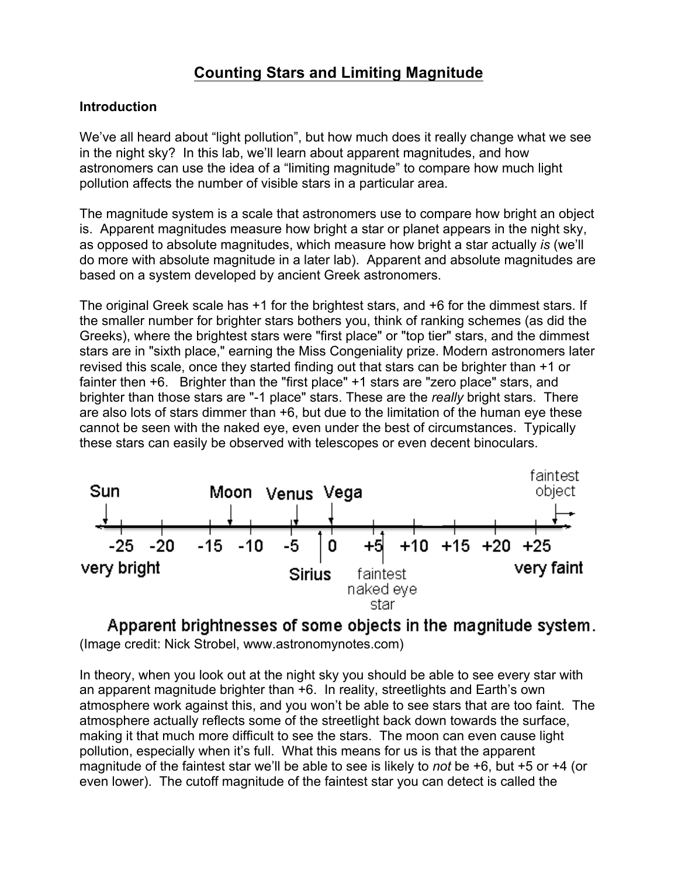## **Counting Stars and Limiting Magnitude**

#### **Introduction**

We've all heard about "light pollution", but how much does it really change what we see in the night sky? In this lab, we'll learn about apparent magnitudes, and how astronomers can use the idea of a "limiting magnitude" to compare how much light pollution affects the number of visible stars in a particular area.

The magnitude system is a scale that astronomers use to compare how bright an object is. Apparent magnitudes measure how bright a star or planet appears in the night sky, as opposed to absolute magnitudes, which measure how bright a star actually *is* (we'll do more with absolute magnitude in a later lab). Apparent and absolute magnitudes are based on a system developed by ancient Greek astronomers.

The original Greek scale has +1 for the brightest stars, and +6 for the dimmest stars. If the smaller number for brighter stars bothers you, think of ranking schemes (as did the Greeks), where the brightest stars were "first place" or "top tier" stars, and the dimmest stars are in "sixth place," earning the Miss Congeniality prize. Modern astronomers later revised this scale, once they started finding out that stars can be brighter than +1 or fainter then +6. Brighter than the "first place" +1 stars are "zero place" stars, and brighter than those stars are "-1 place" stars. These are the *really* bright stars. There are also lots of stars dimmer than +6, but due to the limitation of the human eye these cannot be seen with the naked eye, even under the best of circumstances. Typically these stars can easily be observed with telescopes or even decent binoculars.



Apparent brightnesses of some objects in the magnitude system. (Image credit: Nick Strobel, www.astronomynotes.com)

In theory, when you look out at the night sky you should be able to see every star with an apparent magnitude brighter than +6. In reality, streetlights and Earth's own atmosphere work against this, and you won't be able to see stars that are too faint. The atmosphere actually reflects some of the streetlight back down towards the surface, making it that much more difficult to see the stars. The moon can even cause light pollution, especially when it's full. What this means for us is that the apparent magnitude of the faintest star we'll be able to see is likely to *not* be +6, but +5 or +4 (or even lower). The cutoff magnitude of the faintest star you can detect is called the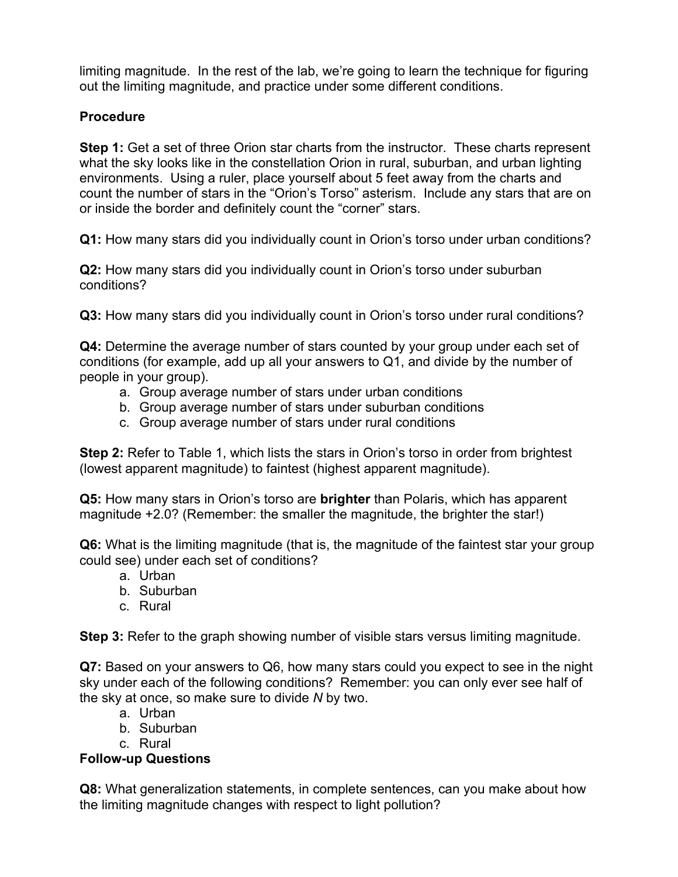limiting magnitude. In the rest of the lab, we're going to learn the technique for figuring out the limiting magnitude, and practice under some different conditions.

### **Procedure**

**Step 1:** Get a set of three Orion star charts from the instructor. These charts represent what the sky looks like in the constellation Orion in rural, suburban, and urban lighting environments. Using a ruler, place yourself about 5 feet away from the charts and count the number of stars in the "Orion's Torso" asterism. Include any stars that are on or inside the border and definitely count the "corner" stars.

**Q1:** How many stars did you individually count in Orion's torso under urban conditions?

**Q2:** How many stars did you individually count in Orion's torso under suburban conditions?

**Q3:** How many stars did you individually count in Orion's torso under rural conditions?

**Q4:** Determine the average number of stars counted by your group under each set of conditions (for example, add up all your answers to Q1, and divide by the number of people in your group).

- a. Group average number of stars under urban conditions
- b. Group average number of stars under suburban conditions
- c. Group average number of stars under rural conditions

**Step 2:** Refer to Table 1, which lists the stars in Orion's torso in order from brightest (lowest apparent magnitude) to faintest (highest apparent magnitude).

**Q5:** How many stars in Orion's torso are **brighter** than Polaris, which has apparent magnitude +2.0? (Remember: the smaller the magnitude, the brighter the star!)

**Q6:** What is the limiting magnitude (that is, the magnitude of the faintest star your group could see) under each set of conditions?

- a. Urban
- b. Suburban
- c. Rural

**Step 3:** Refer to the graph showing number of visible stars versus limiting magnitude.

**Q7:** Based on your answers to Q6, how many stars could you expect to see in the night sky under each of the following conditions? Remember: you can only ever see half of the sky at once, so make sure to divide *N* by two.

- a. Urban
- b. Suburban
- c. Rural

### **Follow-up Questions**

**Q8:** What generalization statements, in complete sentences, can you make about how the limiting magnitude changes with respect to light pollution?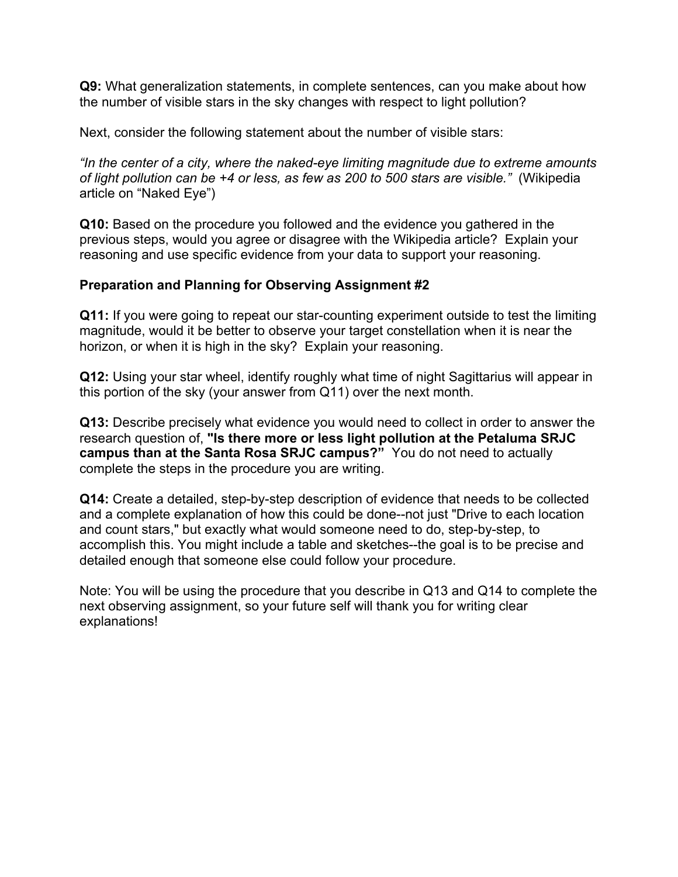**Q9:** What generalization statements, in complete sentences, can you make about how the number of visible stars in the sky changes with respect to light pollution?

Next, consider the following statement about the number of visible stars:

*"In the center of a city, where the naked-eye limiting magnitude due to extreme amounts of light pollution can be +4 or less, as few as 200 to 500 stars are visible."* (Wikipedia article on "Naked Eye")

**Q10:** Based on the procedure you followed and the evidence you gathered in the previous steps, would you agree or disagree with the Wikipedia article? Explain your reasoning and use specific evidence from your data to support your reasoning.

### **Preparation and Planning for Observing Assignment #2**

**Q11:** If you were going to repeat our star-counting experiment outside to test the limiting magnitude, would it be better to observe your target constellation when it is near the horizon, or when it is high in the sky? Explain your reasoning.

**Q12:** Using your star wheel, identify roughly what time of night Sagittarius will appear in this portion of the sky (your answer from Q11) over the next month.

**Q13:** Describe precisely what evidence you would need to collect in order to answer the research question of, **"Is there more or less light pollution at the Petaluma SRJC campus than at the Santa Rosa SRJC campus?"** You do not need to actually complete the steps in the procedure you are writing.

**Q14:** Create a detailed, step-by-step description of evidence that needs to be collected and a complete explanation of how this could be done--not just "Drive to each location and count stars," but exactly what would someone need to do, step-by-step, to accomplish this. You might include a table and sketches--the goal is to be precise and detailed enough that someone else could follow your procedure.

Note: You will be using the procedure that you describe in Q13 and Q14 to complete the next observing assignment, so your future self will thank you for writing clear explanations!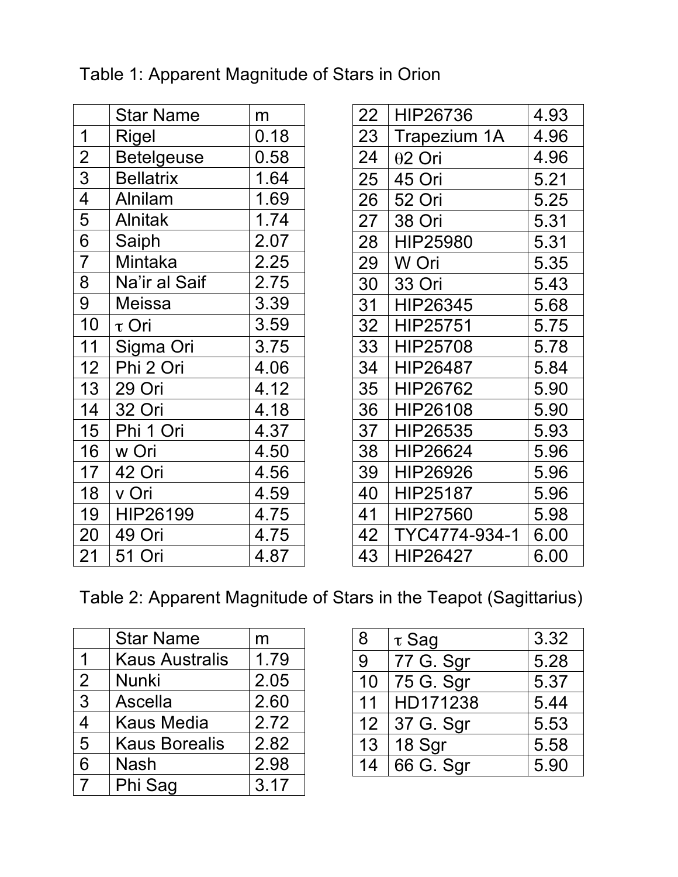|                                     | <b>Star Name</b>  | m    |
|-------------------------------------|-------------------|------|
| 1                                   | Rigel             | 0.18 |
| $\overline{c}$                      | <b>Betelgeuse</b> | 0.58 |
| $\overline{3}$                      | <b>Bellatrix</b>  | 1.64 |
| $\overline{4}$                      | <b>Alnilam</b>    | 1.69 |
| 5                                   | <b>Alnitak</b>    | 1.74 |
| $\frac{\overline{6}}{\overline{7}}$ | Saiph             | 2.07 |
|                                     | <b>Mintaka</b>    | 2.25 |
| $\overline{8}$                      | Na'ir al Saif     | 2.75 |
| $\overline{9}$                      | <b>Meissa</b>     | 3.39 |
| 10                                  | $\tau$ Ori        | 3.59 |
| 11                                  | Sigma Ori         | 3.75 |
| 12                                  | Phi 2 Ori         | 4.06 |
| 13                                  | 29 Ori            | 4.12 |
| 14                                  | 32 Ori            | 4.18 |
| 15                                  | Phi 1 Ori         | 4.37 |
| 16                                  | w Ori             | 4.50 |
| 17                                  | 42 Ori            | 4.56 |
| 18                                  | v Ori             | 4.59 |
| 19                                  | HIP26199          | 4.75 |
| 20                                  | 49 Ori            | 4.75 |
| 21                                  | 51 Ori            | 4.87 |

# Table 1: Apparent Magnitude of Stars in Orion

| 22 | HIP26736       | 4.93 |
|----|----------------|------|
| 23 | Trapezium 1A   | 4.96 |
| 24 | $\theta$ 2 Ori | 4.96 |
| 25 | 45 Ori         | 5.21 |
| 26 | 52 Ori         | 5.25 |
| 27 | 38 Ori         | 5.31 |
| 28 | HIP25980       | 5.31 |
| 29 | W Ori          | 5.35 |
| 30 | 33 Ori         | 5.43 |
| 31 | HIP26345       | 5.68 |
| 32 | HIP25751       | 5.75 |
| 33 | HIP25708       | 5.78 |
| 34 | HIP26487       | 5.84 |
| 35 | HIP26762       | 5.90 |
| 36 | HIP26108       | 5.90 |
| 37 | HIP26535       | 5.93 |
| 38 | HIP26624       | 5.96 |
| 39 | HIP26926       | 5.96 |
| 40 | HIP25187       | 5.96 |
| 41 | HIP27560       | 5.98 |
| 42 | TYC4774-934-1  | 6.00 |
| 43 | HIP26427       | 6.00 |
|    |                |      |

Table 2: Apparent Magnitude of Stars in the Teapot (Sagittarius)

|   | <b>Star Name</b>      | m    |
|---|-----------------------|------|
|   | <b>Kaus Australis</b> | 1.79 |
| 2 | <b>Nunki</b>          | 2.05 |
| 3 | Ascella               | 2.60 |
| 4 | <b>Kaus Media</b>     | 2.72 |
| 5 | <b>Kaus Borealis</b>  | 2.82 |
| 6 | <b>Nash</b>           | 2.98 |
| 7 | Phi Sag               | 3.17 |

| 8  | $\tau$ Sag | 3.32 |
|----|------------|------|
| 9  | 77 G. Sgr  | 5.28 |
| 10 | 75 G. Sgr  | 5.37 |
| 11 | HD171238   | 5.44 |
| 12 | 37 G. Sgr  | 5.53 |
| 13 | 18 Sgr     | 5.58 |
| 14 | 66 G. Sgr  | 5.90 |